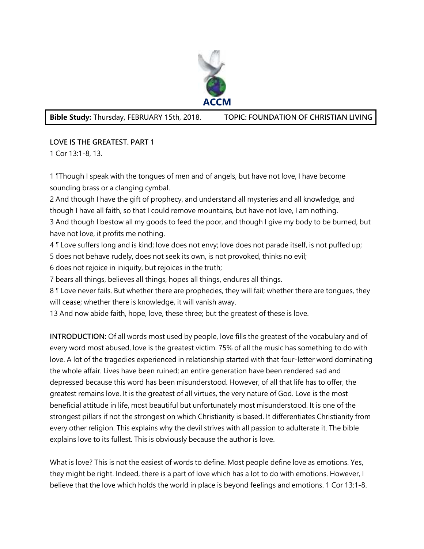

## **Bible Study:** Thursday, FEBRUARY 15th, 2018. **TOPIC: FOUNDATION OF CHRISTIAN LIVING**

## **LOVE IS THE GREATEST. PART 1**

1 Cor 13:1-8, 13.

1 ¶Though I speak with the tongues of men and of angels, but have not love, I have become sounding brass or a clanging cymbal.

2 And though I have the gift of prophecy, and understand all mysteries and all knowledge, and though I have all faith, so that I could remove mountains, but have not love, I am nothing. 3 And though I bestow all my goods to feed the poor, and though I give my body to be burned, but

have not love, it profits me nothing.

4 ¶ Love suffers long and is kind; love does not envy; love does not parade itself, is not puffed up;

5 does not behave rudely, does not seek its own, is not provoked, thinks no evil;

6 does not rejoice in iniquity, but rejoices in the truth;

7 bears all things, believes all things, hopes all things, endures all things.

8 ¶ Love never fails. But whether there are prophecies, they will fail; whether there are tongues, they will cease; whether there is knowledge, it will vanish away.

13 And now abide faith, hope, love, these three; but the greatest of these is love.

**INTRODUCTION:** Of all words most used by people, love fills the greatest of the vocabulary and of every word most abused, love is the greatest victim. 75% of all the music has something to do with love. A lot of the tragedies experienced in relationship started with that four-letter word dominating the whole affair. Lives have been ruined; an entire generation have been rendered sad and depressed because this word has been misunderstood. However, of all that life has to offer, the greatest remains love. It is the greatest of all virtues, the very nature of God. Love is the most beneficial attitude in life, most beautiful but unfortunately most misunderstood. It is one of the strongest pillars if not the strongest on which Christianity is based. It differentiates Christianity from every other religion. This explains why the devil strives with all passion to adulterate it. The bible explains love to its fullest. This is obviously because the author is love.

What is love? This is not the easiest of words to define. Most people define love as emotions. Yes, they might be right. Indeed, there is a part of love which has a lot to do with emotions. However, I believe that the love which holds the world in place is beyond feelings and emotions. 1 Cor 13:1-8.